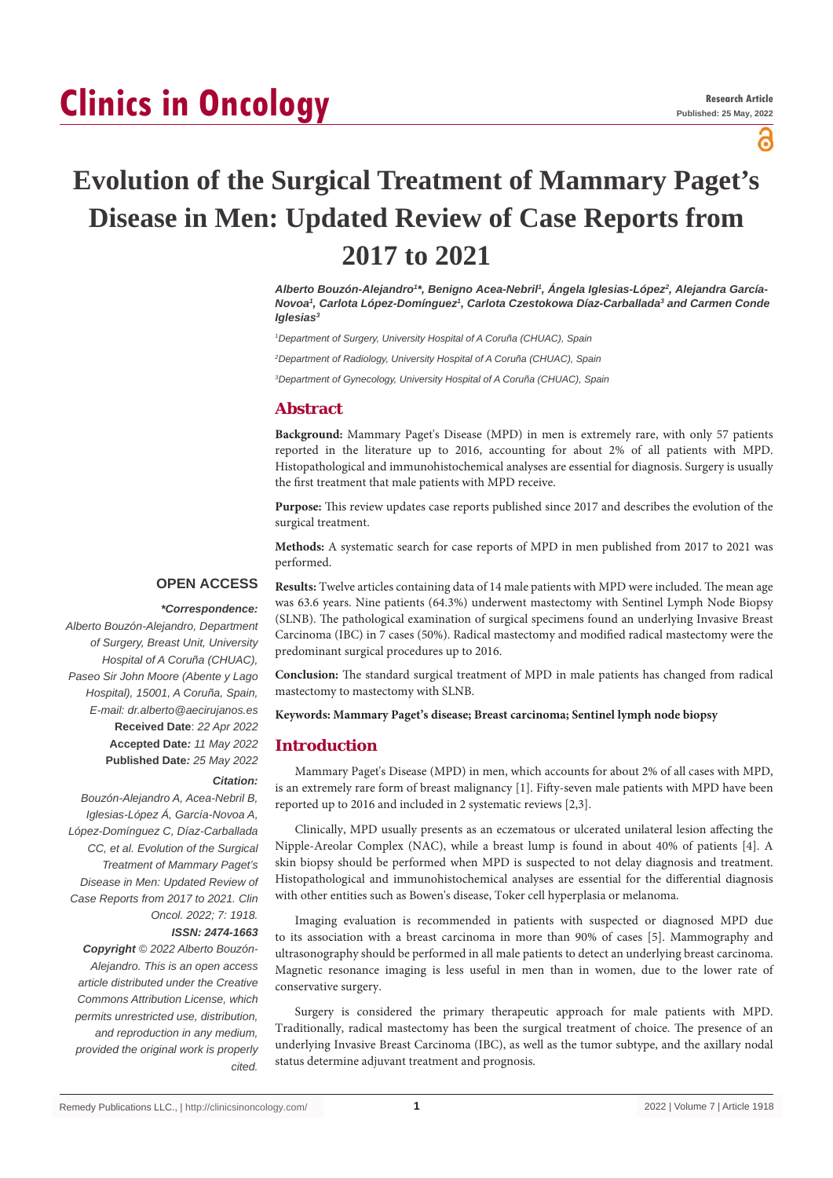# **Clinics in Oncology**

്ദ

# **Evolution of the Surgical Treatment of Mammary Paget's Disease in Men: Updated Review of Case Reports from 2017 to 2021**

*Alberto Bouzón-Alejandro1 \*, Benigno Acea-Nebril1 , Ángela Iglesias-López2 , Alejandra García-Novoa1 , Carlota López-Domínguez1 , Carlota Czestokowa Díaz-Carballada3 and Carmen Conde Iglesias3*

<sup>1</sup> Department of Surgery, University Hospital of A Coruña (CHUAC), Spain

*2 Department of Radiology, University Hospital of A Coruña (CHUAC), Spain*

*3 Department of Gynecology, University Hospital of A Coruña (CHUAC), Spain*

## **Abstract**

**Background:** Mammary Paget's Disease (MPD) in men is extremely rare, with only 57 patients reported in the literature up to 2016, accounting for about 2% of all patients with MPD. Histopathological and immunohistochemical analyses are essential for diagnosis. Surgery is usually the first treatment that male patients with MPD receive.

**Purpose:** This review updates case reports published since 2017 and describes the evolution of the surgical treatment.

**Methods:** A systematic search for case reports of MPD in men published from 2017 to 2021 was performed.

#### **OPEN ACCESS**

#### *\*Correspondence:*

*Alberto Bouzón-Alejandro, Department of Surgery, Breast Unit, University Hospital of A Coruña (CHUAC), Paseo Sir John Moore (Abente y Lago Hospital), 15001, A Coruña, Spain, E-mail: dr.alberto@aecirujanos.es* **Received Date**: *22 Apr 2022* **Accepted Date***: 11 May 2022* **Published Date***: 25 May 2022*

#### *Citation:*

*Bouzón-Alejandro A, Acea-Nebril B, Iglesias-López Á, García-Novoa A, López-Domínguez C, Díaz-Carballada CC, et al. Evolution of the Surgical Treatment of Mammary Paget's Disease in Men: Updated Review of Case Reports from 2017 to 2021. Clin Oncol. 2022; 7: 1918.*

#### *ISSN: 2474-1663*

*Copyright © 2022 Alberto Bouzón-Alejandro. This is an open access article distributed under the Creative Commons Attribution License, which permits unrestricted use, distribution, and reproduction in any medium, provided the original work is properly cited.*

**Results:** Twelve articles containing data of 14 male patients with MPD were included. The mean age was 63.6 years. Nine patients (64.3%) underwent mastectomy with Sentinel Lymph Node Biopsy (SLNB). The pathological examination of surgical specimens found an underlying Invasive Breast Carcinoma (IBC) in 7 cases (50%). Radical mastectomy and modified radical mastectomy were the predominant surgical procedures up to 2016.

**Conclusion:** The standard surgical treatment of MPD in male patients has changed from radical mastectomy to mastectomy with SLNB.

#### **Keywords: Mammary Paget's disease; Breast carcinoma; Sentinel lymph node biopsy**

#### **Introduction**

Mammary Paget's Disease (MPD) in men, which accounts for about 2% of all cases with MPD, is an extremely rare form of breast malignancy [1]. Fifty-seven male patients with MPD have been reported up to 2016 and included in 2 systematic reviews [2,3].

Clinically, MPD usually presents as an eczematous or ulcerated unilateral lesion affecting the Nipple-Areolar Complex (NAC), while a breast lump is found in about 40% of patients [4]. A skin biopsy should be performed when MPD is suspected to not delay diagnosis and treatment. Histopathological and immunohistochemical analyses are essential for the differential diagnosis with other entities such as Bowen's disease, Toker cell hyperplasia or melanoma.

Imaging evaluation is recommended in patients with suspected or diagnosed MPD due to its association with a breast carcinoma in more than 90% of cases [5]. Mammography and ultrasonography should be performed in all male patients to detect an underlying breast carcinoma. Magnetic resonance imaging is less useful in men than in women, due to the lower rate of conservative surgery.

Surgery is considered the primary therapeutic approach for male patients with MPD. Traditionally, radical mastectomy has been the surgical treatment of choice. The presence of an underlying Invasive Breast Carcinoma (IBC), as well as the tumor subtype, and the axillary nodal status determine adjuvant treatment and prognosis.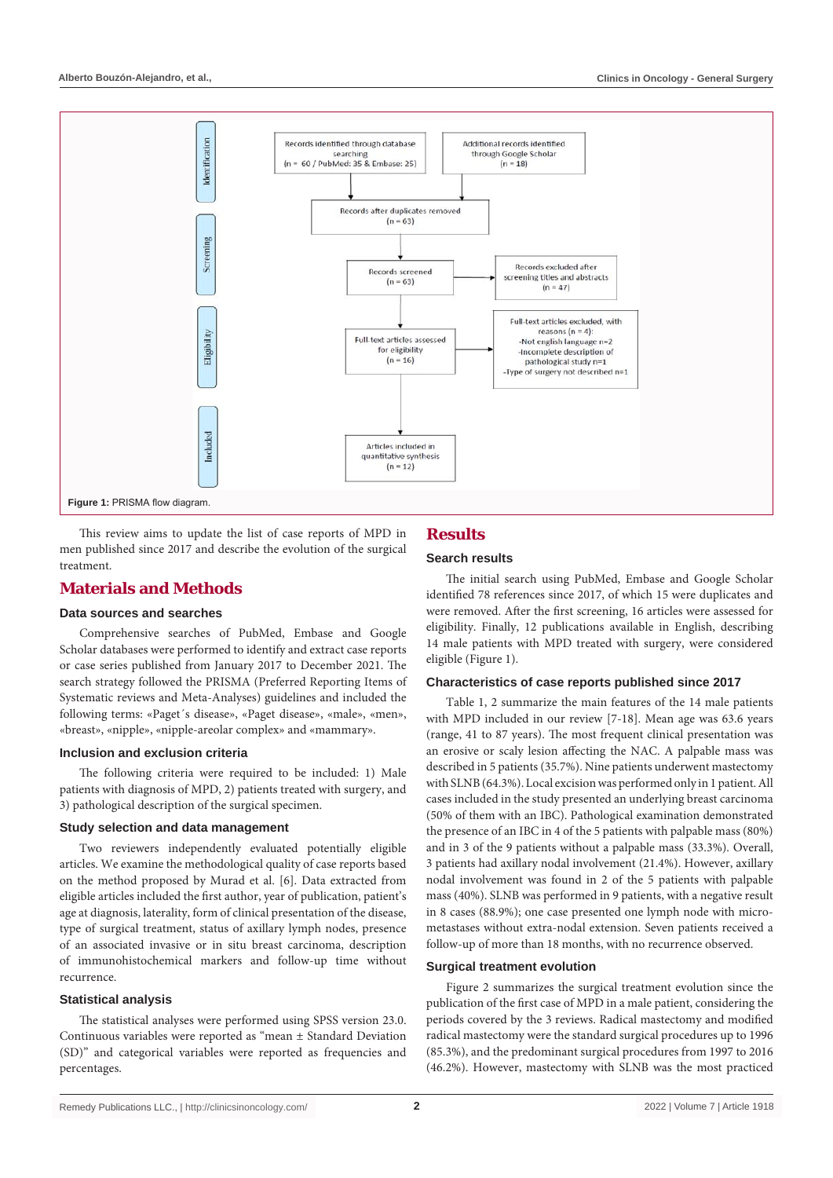

This review aims to update the list of case reports of MPD in men published since 2017 and describe the evolution of the surgical treatment.

# **Materials and Methods**

#### **Data sources and searches**

Comprehensive searches of PubMed, Embase and Google Scholar databases were performed to identify and extract case reports or case series published from January 2017 to December 2021. The search strategy followed the PRISMA (Preferred Reporting Items of Systematic reviews and Meta-Analyses) guidelines and included the following terms: «Paget´s disease», «Paget disease», «male», «men», «breast», «nipple», «nipple-areolar complex» and «mammary».

#### **Inclusion and exclusion criteria**

The following criteria were required to be included: 1) Male patients with diagnosis of MPD, 2) patients treated with surgery, and 3) pathological description of the surgical specimen.

#### **Study selection and data management**

Two reviewers independently evaluated potentially eligible articles. We examine the methodological quality of case reports based on the method proposed by Murad et al. [6]. Data extracted from eligible articles included the first author, year of publication, patient's age at diagnosis, laterality, form of clinical presentation of the disease, type of surgical treatment, status of axillary lymph nodes, presence of an associated invasive or in situ breast carcinoma, description of immunohistochemical markers and follow-up time without recurrence.

#### **Statistical analysis**

The statistical analyses were performed using SPSS version 23.0. Continuous variables were reported as "mean ± Standard Deviation (SD)" and categorical variables were reported as frequencies and percentages.

# **Results**

# **Search results**

The initial search using PubMed, Embase and Google Scholar identified 78 references since 2017, of which 15 were duplicates and were removed. After the first screening, 16 articles were assessed for eligibility. Finally, 12 publications available in English, describing 14 male patients with MPD treated with surgery, were considered eligible (Figure 1).

#### **Characteristics of case reports published since 2017**

Table 1, 2 summarize the main features of the 14 male patients with MPD included in our review [7-18]. Mean age was 63.6 years (range, 41 to 87 years). The most frequent clinical presentation was an erosive or scaly lesion affecting the NAC. A palpable mass was described in 5 patients (35.7%). Nine patients underwent mastectomy with SLNB (64.3%). Local excision was performed only in 1 patient. All cases included in the study presented an underlying breast carcinoma (50% of them with an IBC). Pathological examination demonstrated the presence of an IBC in 4 of the 5 patients with palpable mass (80%) and in 3 of the 9 patients without a palpable mass (33.3%). Overall, 3 patients had axillary nodal involvement (21.4%). However, axillary nodal involvement was found in 2 of the 5 patients with palpable mass (40%). SLNB was performed in 9 patients, with a negative result in 8 cases (88.9%); one case presented one lymph node with micrometastases without extra-nodal extension. Seven patients received a follow-up of more than 18 months, with no recurrence observed.

#### **Surgical treatment evolution**

Figure 2 summarizes the surgical treatment evolution since the publication of the first case of MPD in a male patient, considering the periods covered by the 3 reviews. Radical mastectomy and modified radical mastectomy were the standard surgical procedures up to 1996 (85.3%), and the predominant surgical procedures from 1997 to 2016 (46.2%). However, mastectomy with SLNB was the most practiced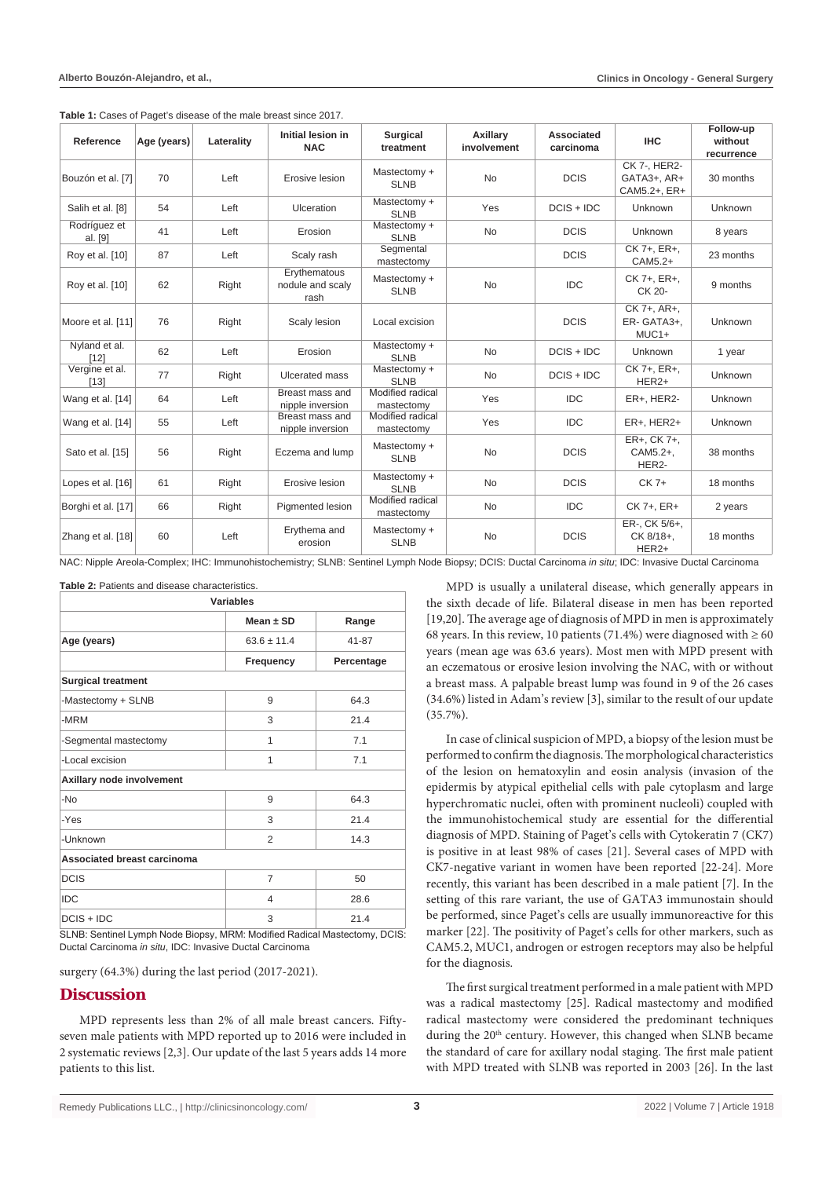| Reference               | Age (years) | Laterality | Initial lesion in<br><b>NAC</b>          | <b>Surgical</b><br>treatment   | Axillary<br>involvement | Associated<br>carcinoma | <b>IHC</b>                                  | Follow-up<br>without<br>recurrence |
|-------------------------|-------------|------------|------------------------------------------|--------------------------------|-------------------------|-------------------------|---------------------------------------------|------------------------------------|
| Bouzón et al. [7]       | 70          | Left       | Erosive lesion                           | Mastectomy +<br><b>SLNB</b>    | <b>No</b>               | <b>DCIS</b>             | CK 7-, HER2-<br>GATA3+, AR+<br>CAM5.2+, ER+ | 30 months                          |
| Salih et al. [8]        | 54          | Left       | <b>Ulceration</b>                        | Mastectomy +<br><b>SLNB</b>    | Yes                     | $DCIS + IDC$            | Unknown                                     | Unknown                            |
| Rodríguez et<br>al. [9] | 41          | Left       | Erosion                                  | Mastectomy +<br><b>SLNB</b>    | <b>No</b>               | <b>DCIS</b>             | Unknown                                     | 8 years                            |
| Roy et al. [10]         | 87          | Left       | Scaly rash                               | Segmental<br>mastectomy        |                         | <b>DCIS</b>             | CK 7+, ER+,<br>CAM5.2+                      | 23 months                          |
| Roy et al. [10]         | 62          | Right      | Erythematous<br>nodule and scaly<br>rash | Mastectomy +<br><b>SLNB</b>    | <b>No</b>               | <b>IDC</b>              | CK 7+, ER+,<br>CK 20-                       | 9 months                           |
| Moore et al. [11]       | 76          | Right      | Scaly lesion                             | Local excision                 |                         | <b>DCIS</b>             | CK 7+, AR+,<br>ER-GATA3+.<br>$MUC1+$        | Unknown                            |
| Nyland et al.<br>$[12]$ | 62          | Left       | Erosion                                  | Mastectomy +<br><b>SLNB</b>    | <b>No</b>               | $DCIS + IDC$            | Unknown                                     | 1 year                             |
| Vergine et al.<br>[13]  | 77          | Right      | Ulcerated mass                           | Mastectomy +<br><b>SLNB</b>    | <b>No</b>               | $DCIS + IDC$            | CK 7+, ER+,<br>HER <sub>2+</sub>            | Unknown                            |
| Wang et al. [14]        | 64          | Left       | Breast mass and<br>nipple inversion      | Modified radical<br>mastectomy | Yes                     | <b>IDC</b>              | <b>ER+, HER2-</b>                           | Unknown                            |
| Wang et al. [14]        | 55          | Left       | Breast mass and<br>nipple inversion      | Modified radical<br>mastectomy | Yes                     | <b>IDC</b>              | $ER+$ , $HER2+$                             | Unknown                            |
| Sato et al. [15]        | 56          | Right      | Eczema and lump                          | Mastectomy +<br><b>SLNB</b>    | <b>No</b>               | <b>DCIS</b>             | ER+, CK 7+,<br>CAM5.2+.<br>HER2-            | 38 months                          |
| Lopes et al. [16]       | 61          | Right      | Erosive lesion                           | Mastectomy +<br><b>SLNB</b>    | <b>No</b>               | <b>DCIS</b>             | CK 7+                                       | 18 months                          |
| Borghi et al. [17]      | 66          | Right      | Pigmented lesion                         | Modified radical<br>mastectomy | <b>No</b>               | <b>IDC</b>              | CK 7+, ER+                                  | 2 years                            |
| Zhang et al. [18]       | 60          | Left       | Erythema and<br>erosion                  | Mastectomy +<br><b>SLNB</b>    | <b>No</b>               | <b>DCIS</b>             | ER-, CK 5/6+,<br>CK 8/18+.<br>HER2+         | 18 months                          |

**Table 1:** Cases of Paget's disease of the male breast since 2017.

NAC: Nipple Areola-Complex; IHC: Immunohistochemistry; SLNB: Sentinel Lymph Node Biopsy; DCIS: Ductal Carcinoma *in situ*; IDC: Invasive Ductal Carcinoma

| <b>Variables</b>                   |                 |            |  |  |  |  |  |
|------------------------------------|-----------------|------------|--|--|--|--|--|
|                                    | Mean $\pm$ SD   | Range      |  |  |  |  |  |
| Age (years)                        | $63.6 \pm 11.4$ | $41 - 87$  |  |  |  |  |  |
|                                    | Frequency       | Percentage |  |  |  |  |  |
| <b>Surgical treatment</b>          |                 |            |  |  |  |  |  |
| -Mastectomy + SLNB                 | 9               | 64.3       |  |  |  |  |  |
| -MRM                               | 3               | 21.4       |  |  |  |  |  |
| -Segmental mastectomy              | 1               | 7.1        |  |  |  |  |  |
| -Local excision                    | 1               | 7.1        |  |  |  |  |  |
| Axillary node involvement          |                 |            |  |  |  |  |  |
| $-NO$                              | 9               | 64.3       |  |  |  |  |  |
| -Yes                               | 3               | 21.4       |  |  |  |  |  |
| -Unknown                           | $\overline{2}$  | 14.3       |  |  |  |  |  |
| <b>Associated breast carcinoma</b> |                 |            |  |  |  |  |  |
| <b>DCIS</b>                        | 7               | 50         |  |  |  |  |  |
| <b>IDC</b>                         | 4               | 28.6       |  |  |  |  |  |
| $DCIS + IDC$                       | 3               | 21.4       |  |  |  |  |  |

SLNB: Sentinel Lymph Node Biopsy, MRM: Modified Radical Mastectomy, DCIS: Ductal Carcinoma *in situ*, IDC: Invasive Ductal Carcinoma

surgery (64.3%) during the last period (2017-2021).

#### **Discussion**

MPD represents less than 2% of all male breast cancers. Fiftyseven male patients with MPD reported up to 2016 were included in 2 systematic reviews [2,3]. Our update of the last 5 years adds 14 more patients to this list.

MPD is usually a unilateral disease, which generally appears in the sixth decade of life. Bilateral disease in men has been reported [19,20]. The average age of diagnosis of MPD in men is approximately 68 years. In this review, 10 patients (71.4%) were diagnosed with  $\geq$  60 years (mean age was 63.6 years). Most men with MPD present with an eczematous or erosive lesion involving the NAC, with or without a breast mass. A palpable breast lump was found in 9 of the 26 cases (34.6%) listed in Adam's review [3], similar to the result of our update (35.7%).

In case of clinical suspicion of MPD, a biopsy of the lesion must be performed to confirm the diagnosis. The morphological characteristics of the lesion on hematoxylin and eosin analysis (invasion of the epidermis by atypical epithelial cells with pale cytoplasm and large hyperchromatic nuclei, often with prominent nucleoli) coupled with the immunohistochemical study are essential for the differential diagnosis of MPD. Staining of Paget's cells with Cytokeratin 7 (CK7) is positive in at least 98% of cases [21]. Several cases of MPD with CK7-negative variant in women have been reported [22-24]. More recently, this variant has been described in a male patient [7]. In the setting of this rare variant, the use of GATA3 immunostain should be performed, since Paget's cells are usually immunoreactive for this marker [22]. The positivity of Paget's cells for other markers, such as CAM5.2, MUC1, androgen or estrogen receptors may also be helpful for the diagnosis.

The first surgical treatment performed in a male patient with MPD was a radical mastectomy [25]. Radical mastectomy and modified radical mastectomy were considered the predominant techniques during the 20<sup>th</sup> century. However, this changed when SLNB became the standard of care for axillary nodal staging. The first male patient with MPD treated with SLNB was reported in 2003 [26]. In the last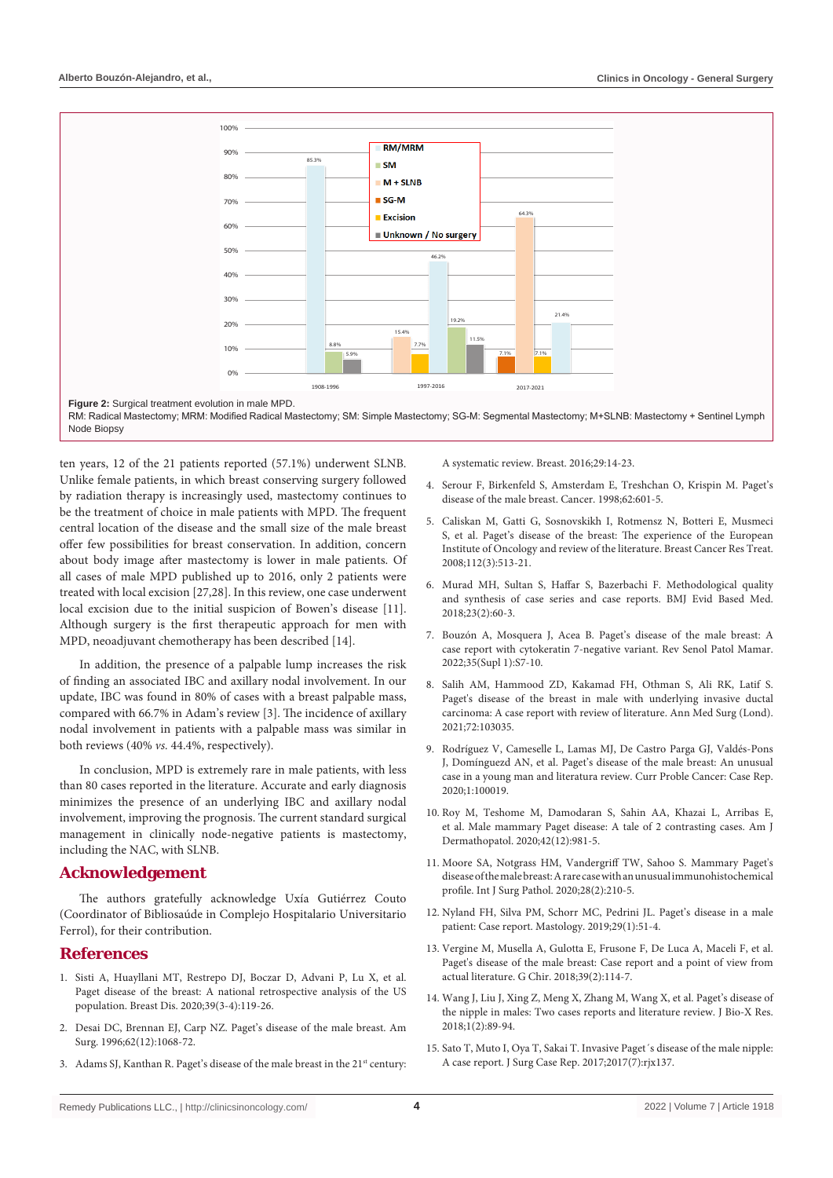

ten years, 12 of the 21 patients reported (57.1%) underwent SLNB. Unlike female patients, in which breast conserving surgery followed by radiation therapy is increasingly used, mastectomy continues to be the treatment of choice in male patients with MPD. The frequent central location of the disease and the small size of the male breast offer few possibilities for breast conservation. In addition, concern about body image after mastectomy is lower in male patients. Of all cases of male MPD published up to 2016, only 2 patients were treated with local excision [27,28]. In this review, one case underwent local excision due to the initial suspicion of Bowen's disease [11]. Although surgery is the first therapeutic approach for men with MPD, neoadjuvant chemotherapy has been described [14].

In addition, the presence of a palpable lump increases the risk of finding an associated IBC and axillary nodal involvement. In our update, IBC was found in 80% of cases with a breast palpable mass, compared with 66.7% in Adam's review [3]. The incidence of axillary nodal involvement in patients with a palpable mass was similar in both reviews (40% *vs.* 44.4%, respectively).

In conclusion, MPD is extremely rare in male patients, with less than 80 cases reported in the literature. Accurate and early diagnosis minimizes the presence of an underlying IBC and axillary nodal involvement, improving the prognosis. The current standard surgical management in clinically node-negative patients is mastectomy, including the NAC, with SLNB.

#### **Acknowledgement**

The authors gratefully acknowledge Uxía Gutiérrez Couto (Coordinator of Bibliosaúde in Complejo Hospitalario Universitario Ferrol), for their contribution.

## **References**

- 1. [Sisti A, Huayllani MT, Restrepo DJ, Boczar D, Advani P, Lu X, et al.](https://pubmed.ncbi.nlm.nih.gov/32390594/)  [Paget disease of the breast: A national retrospective analysis of the US](https://pubmed.ncbi.nlm.nih.gov/32390594/)  [population. Breast Dis. 2020;39\(3-4\):119-26.](https://pubmed.ncbi.nlm.nih.gov/32390594/)
- 2. [Desai DC, Brennan EJ, Carp NZ. Paget's disease of the male breast. Am](https://pubmed.ncbi.nlm.nih.gov/8955252/)  [Surg. 1996;62\(12\):1068-72.](https://pubmed.ncbi.nlm.nih.gov/8955252/)
- 3. Adams SJ, Kanthan R. Paget's disease of the male breast in the 21<sup>st</sup> century:

[A systematic review. Breast. 2016;29:14-23.](https://pubmed.ncbi.nlm.nih.gov/27394005/)

- 4. Serour F, Birkenfeld S, Amsterdam E, Treshchan O, Krispin M. Paget's disease of the male breast. Cancer. 1998;62:601-5.
- 5. [Caliskan M, Gatti G, Sosnovskikh I, Rotmensz N, Botteri E, Musmeci](https://pubmed.ncbi.nlm.nih.gov/18240020/)  [S, et al. Paget's disease of the breast: The experience of the European](https://pubmed.ncbi.nlm.nih.gov/18240020/)  [Institute of Oncology and review of the literature. Breast Cancer Res Treat.](https://pubmed.ncbi.nlm.nih.gov/18240020/)  [2008;112\(3\):513-21.](https://pubmed.ncbi.nlm.nih.gov/18240020/)
- 6. [Murad MH, Sultan S, Haffar S, Bazerbachi F. Methodological quality](https://pubmed.ncbi.nlm.nih.gov/29420178/)  [and synthesis of case series and case reports. BMJ Evid Based Med.](https://pubmed.ncbi.nlm.nih.gov/29420178/)  [2018;23\(2\):60-3.](https://pubmed.ncbi.nlm.nih.gov/29420178/)
- 7. [Bouzón A, Mosquera J, Acea B. Paget's disease of the male breast: A](https://www.sciencedirect.com/science/article/abs/pii/S021415822100058X)  [case report with cytokeratin 7-negative variant. Rev Senol Patol Mamar.](https://www.sciencedirect.com/science/article/abs/pii/S021415822100058X)  [2022;35\(Supl 1\):S7-10.](https://www.sciencedirect.com/science/article/abs/pii/S021415822100058X)
- 8. [Salih AM, Hammood ZD, Kakamad FH, Othman S, Ali RK, Latif S.](https://pubmed.ncbi.nlm.nih.gov/34820122/)  [Paget's disease of the breast in male with underlying invasive ductal](https://pubmed.ncbi.nlm.nih.gov/34820122/)  [carcinoma: A case report with review of literature. Ann Med Surg \(Lond\).](https://pubmed.ncbi.nlm.nih.gov/34820122/)  [2021;72:103035.](https://pubmed.ncbi.nlm.nih.gov/34820122/)
- 9. [Rodríguez V, Cameselle L, Lamas MJ, De Castro Parga GJ, Valdés-Pons](https://www.sciencedirect.com/science/article/pii/S2666621920300193)  [J, Domínguezd AN, et al. Paget's disease of the male breast: An unusual](https://www.sciencedirect.com/science/article/pii/S2666621920300193)  [case in a young man and literatura review. Curr Proble Cancer: Case Rep.](https://www.sciencedirect.com/science/article/pii/S2666621920300193)  [2020;1:100019.](https://www.sciencedirect.com/science/article/pii/S2666621920300193)
- 10. [Roy M, Teshome M, Damodaran S, Sahin AA, Khazai L, Arribas E,](https://pubmed.ncbi.nlm.nih.gov/33289978/)  [et al. Male mammary Paget disease: A tale of 2 contrasting cases. Am J](https://pubmed.ncbi.nlm.nih.gov/33289978/)  [Dermathopatol. 2020;42\(12\):981-5.](https://pubmed.ncbi.nlm.nih.gov/33289978/)
- 11. [Moore SA, Notgrass HM, Vandergriff TW, Sahoo S. Mammary Paget's](https://pubmed.ncbi.nlm.nih.gov/31514589/)  [disease of the male breast: A rare case with an unusual immunohistochemical](https://pubmed.ncbi.nlm.nih.gov/31514589/)  [profile. Int J Surg Pathol. 2020;28\(2\):210-5.](https://pubmed.ncbi.nlm.nih.gov/31514589/)
- 12. [Nyland FH, Silva PM, Schorr MC, Pedrini JL. Paget's disease in a male](https://www.mastology.org/wp-content/uploads/2019/04/MAS-v29n1_52-54-1.pdf)  [patient: Case report. Mastology. 2019;29\(1\):51-4.](https://www.mastology.org/wp-content/uploads/2019/04/MAS-v29n1_52-54-1.pdf)
- 13. [Vergine M, Musella A, Gulotta E, Frusone F, De Luca A, Maceli F, et al.](https://pubmed.ncbi.nlm.nih.gov/29694313/)  [Paget's disease of the male breast: Case report and a point of view from](https://pubmed.ncbi.nlm.nih.gov/29694313/)  [actual literature. G Chir. 2018;39\(2\):114-7.](https://pubmed.ncbi.nlm.nih.gov/29694313/)
- 14. [Wang J, Liu J, Xing Z, Meng X, Zhang M, Wang X, et al. Paget's disease of](https://journals.lww.com/jbioxresearch/Fulltext/2018/09000/Paget_s_disease_of_the_nipple_in_males__two_case.6.aspx)  [the nipple in males: Two cases reports and literature review. J Bio-X Res.](https://journals.lww.com/jbioxresearch/Fulltext/2018/09000/Paget_s_disease_of_the_nipple_in_males__two_case.6.aspx)   $2018 \cdot 1(2) \cdot 89 - 94$
- 15. [Sato T, Muto I, Oya T, Sakai T. Invasive Paget´s disease of the male nipple:](https://pubmed.ncbi.nlm.nih.gov/28775835/)  [A case report. J Surg Case Rep. 2017;2017\(7\):rjx137.](https://pubmed.ncbi.nlm.nih.gov/28775835/)